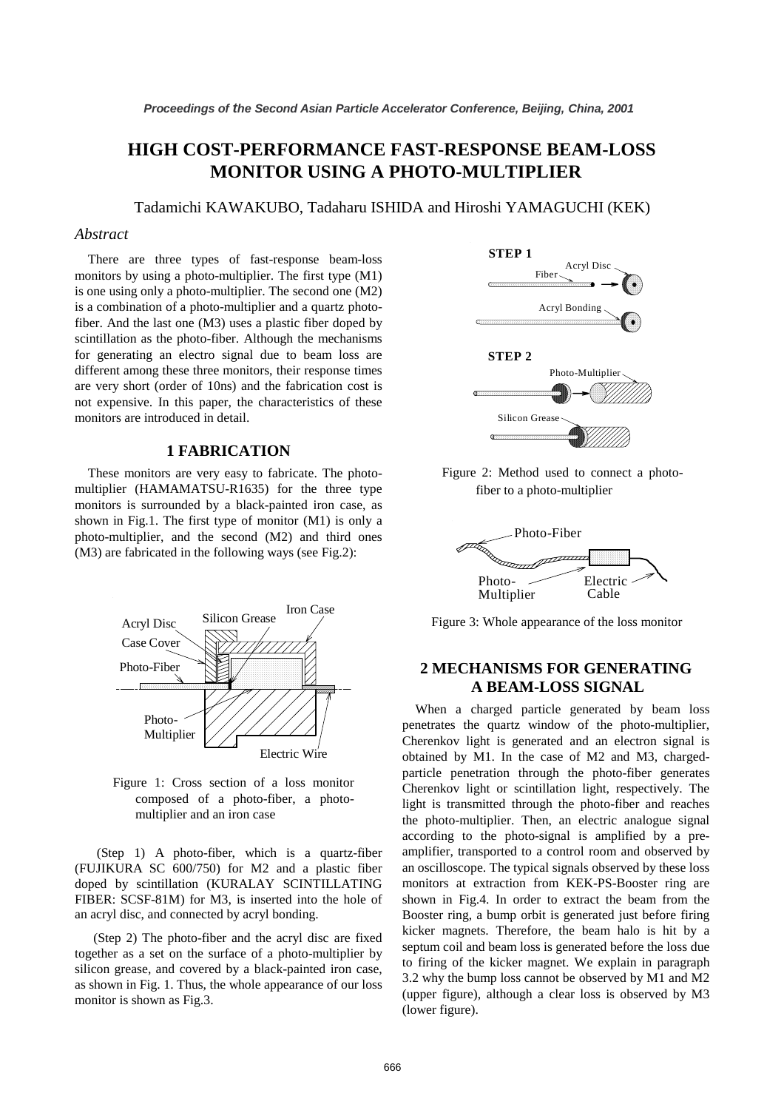# **HIGH COST-PERFORMANCE FAST-RESPONSE BEAM-LOSS MONITOR USING A PHOTO-MULTIPLIER**

Tadamichi KAWAKUBO, Tadaharu ISHIDA and Hiroshi YAMAGUCHI (KEK)

## *Abstract*

There are three types of fast-response beam-loss monitors by using a photo-multiplier. The first type (M1) is one using only a photo-multiplier. The second one (M2) is a combination of a photo-multiplier and a quartz photofiber. And the last one (M3) uses a plastic fiber doped by scintillation as the photo-fiber. Although the mechanisms for generating an electro signal due to beam loss are different among these three monitors, their response times are very short (order of 10ns) and the fabrication cost is not expensive. In this paper, the characteristics of these monitors are introduced in detail.

# **1 FABRICATION**

These monitors are very easy to fabricate. The photomultiplier (HAMAMATSU-R1635) for the three type monitors is surrounded by a black-painted iron case, as shown in Fig.1. The first type of monitor (M1) is only a photo-multiplier, and the second (M2) and third ones (M3) are fabricated in the following ways (see Fig.2):



Figure 1: Cross section of a loss monitor composed of a photo-fiber, a photomultiplier and an iron case

(Step 1) A photo-fiber, which is a quartz-fiber (FUJIKURA SC 600/750) for M2 and a plastic fiber doped by scintillation (KURALAY SCINTILLATING FIBER: SCSF-81M) for M3, is inserted into the hole of an acryl disc, and connected by acryl bonding.

(Step 2) The photo-fiber and the acryl disc are fixed together as a set on the surface of a photo-multiplier by silicon grease, and covered by a black-painted iron case, as shown in Fig. 1. Thus, the whole appearance of our loss monitor is shown as Fig.3.



Figure 2: Method used to connect a photofiber to a photo-multiplier



Figure 3: Whole appearance of the loss monitor

# **2 MECHANISMS FOR GENERATING A BEAM-LOSS SIGNAL**

When a charged particle generated by beam loss penetrates the quartz window of the photo-multiplier, Cherenkov light is generated and an electron signal is obtained by M1. In the case of M2 and M3, chargedparticle penetration through the photo-fiber generates Cherenkov light or scintillation light, respectively. The light is transmitted through the photo-fiber and reaches the photo-multiplier. Then, an electric analogue signal according to the photo-signal is amplified by a preamplifier, transported to a control room and observed by an oscilloscope. The typical signals observed by these loss monitors at extraction from KEK-PS-Booster ring are shown in Fig.4. In order to extract the beam from the Booster ring, a bump orbit is generated just before firing kicker magnets. Therefore, the beam halo is hit by a septum coil and beam loss is generated before the loss due to firing of the kicker magnet. We explain in paragraph 3.2 why the bump loss cannot be observed by M1 and M2 (upper figure), although a clear loss is observed by M3 (lower figure).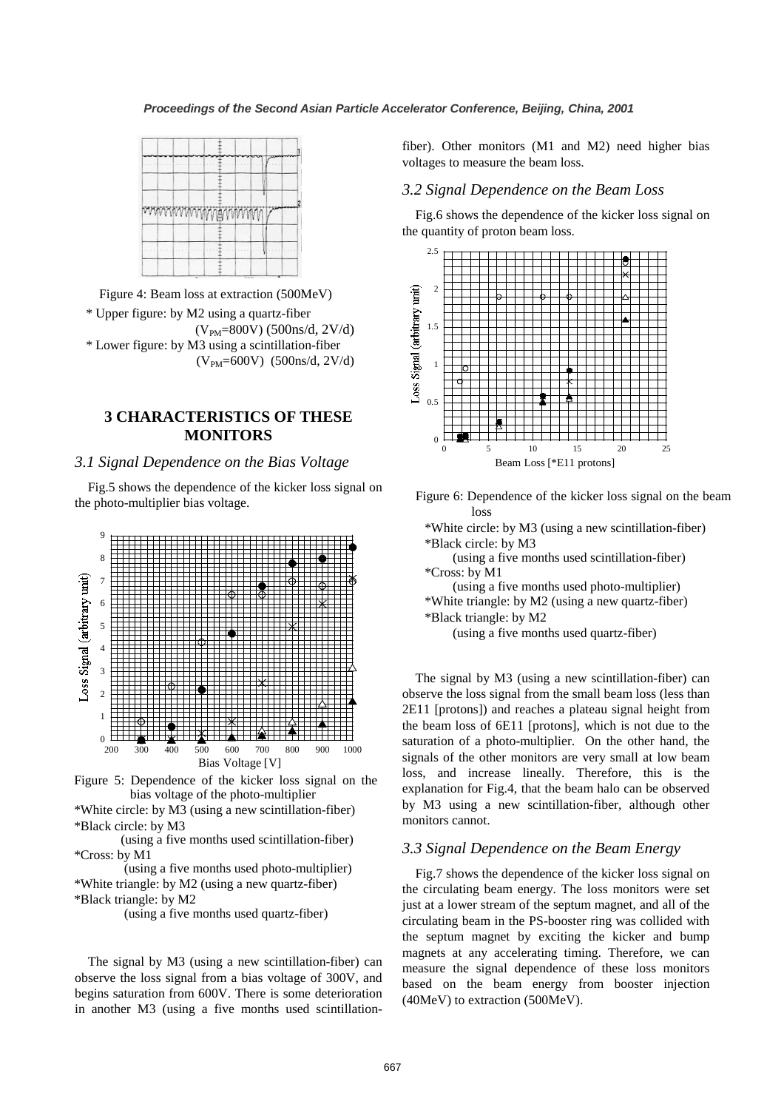

Figure 4: Beam loss at extraction (500MeV)

\* Upper figure: by M2 using a quartz-fiber  $(V_{PM}=800V)$  (500ns/d, 2V/d) \* Lower figure: by M3 using a scintillation-fiber  $(V_{PM}=600V)$  (500ns/d, 2V/d)

# **3 CHARACTERISTICS OF THESE MONITORS**

#### *3.1 Signal Dependence on the Bias Voltage*

Fig.5 shows the dependence of the kicker loss signal on the photo-multiplier bias voltage.





\*White circle: by M3 (using a new scintillation-fiber) \*Black circle: by M3

(using a five months used scintillation-fiber) \*Cross: by M1

(using a five months used photo-multiplier) \*White triangle: by M2 (using a new quartz-fiber) \*Black triangle: by M2

(using a five months used quartz-fiber)

The signal by M3 (using a new scintillation-fiber) can observe the loss signal from a bias voltage of 300V, and begins saturation from 600V. There is some deterioration in another M3 (using a five months used scintillationfiber). Other monitors (M1 and M2) need higher bias voltages to measure the beam loss.

#### *3.2 Signal Dependence on the Beam Loss*

Fig.6 shows the dependence of the kicker loss signal on the quantity of proton beam loss.



Figure 6: Dependence of the kicker loss signal on the beam loss

\*White circle: by M3 (using a new scintillation-fiber) \*Black circle: by M3

(using a five months used scintillation-fiber) \*Cross: by M1

(using a five months used photo-multiplier)

\*White triangle: by M2 (using a new quartz-fiber)

\*Black triangle: by M2

(using a five months used quartz-fiber)

The signal by M3 (using a new scintillation-fiber) can observe the loss signal from the small beam loss (less than 2E11 [protons]) and reaches a plateau signal height from the beam loss of 6E11 [protons], which is not due to the saturation of a photo-multiplier. On the other hand, the signals of the other monitors are very small at low beam loss, and increase lineally. Therefore, this is the explanation for Fig.4, that the beam halo can be observed by M3 using a new scintillation-fiber, although other monitors cannot.

## *3.3 Signal Dependence on the Beam Energy*

Fig.7 shows the dependence of the kicker loss signal on the circulating beam energy. The loss monitors were set just at a lower stream of the septum magnet, and all of the circulating beam in the PS-booster ring was collided with the septum magnet by exciting the kicker and bump magnets at any accelerating timing. Therefore, we can measure the signal dependence of these loss monitors based on the beam energy from booster injection (40MeV) to extraction (500MeV).